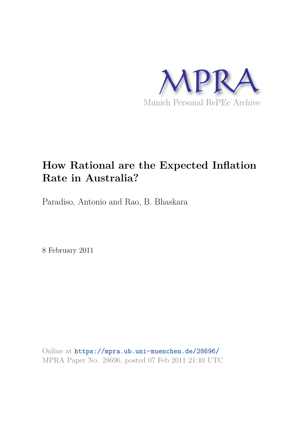

# **How Rational are the Expected Inflation Rate in Australia?**

Paradiso, Antonio and Rao, B. Bhaskara

8 February 2011

Online at https://mpra.ub.uni-muenchen.de/28696/ MPRA Paper No. 28696, posted 07 Feb 2011 21:40 UTC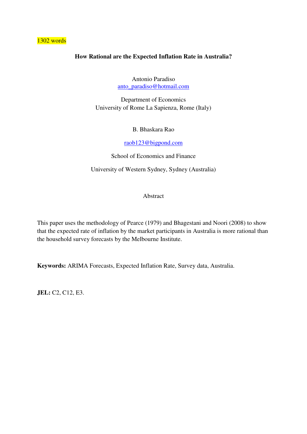### 1302 words

# **How Rational are the Expected Inflation Rate in Australia?**

Antonio Paradiso [anto\\_paradiso@hotmail.com](mailto:anto_paradiso@hotmail.com)

Department of Economics University of Rome La Sapienza, Rome (Italy)

B. Bhaskara Rao

[raob123@bigpond.com](mailto:raob123@bigpond.com)

School of Economics and Finance

University of Western Sydney, Sydney (Australia)

Abstract

This paper uses the methodology of Pearce (1979) and Bhagestani and Noori (2008) to show that the expected rate of inflation by the market participants in Australia is more rational than the household survey forecasts by the Melbourne Institute.

**Keywords:** ARIMA Forecasts, Expected Inflation Rate, Survey data, Australia.

**JEL:** C2, C12, E3.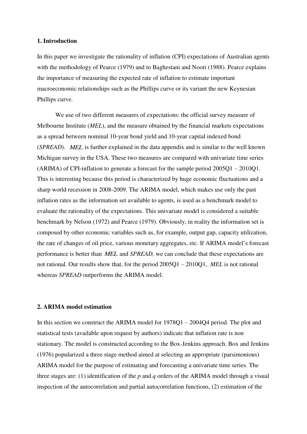#### **1. Introduction**

In this paper we investigate the rationality of inflation (CPI) expectations of Australian agents with the methodology of Pearce (1979) and to Baghestani and Noori (1988). Pearce explains the importance of measuring the expected rate of inflation to estimate important macroeconomic relationships such as the Phillips curve or its variant the new Keynesian Phillips curve.

We use of two different measures of expectations: the official survey measure of Melbourne Institute (*MEL*), and the measure obtained by the financial markets expectations as a spread between nominal 10-year bond yield and 10-year capital indexed bond (*SPREAD*). *MEL* is further explained in the data appendix and is similar to the well known Michigan survey in the USA. These two measures are compared with univariate time series (ARIMA) of CPI-inflation to generate a forecast for the sample period 2005Q1 – 2010Q1. This is interesting because this period is characterized by huge economic fluctuations and a sharp world recession in 2008-2009. The ARIMA model, which makes use only the past inflation rates as the information set available to agents, is used as a benchmark model to evaluate the rationality of the expectations. This univariate model is considered a suitable benchmark by Nelson (1972) and Pearce (1979). Obviously, in reality the information set is composed by other economic variables such as, for example, output gap, capacity utilization, the rate of changes of oil price, various monetary aggregates, etc. If ARIMA model's forecast performance is better than *MEL* and *SPREAD,* we can conclude that these expectations are not rational. Our results show that, for the period 2005Q1 – 2010Q1, *MEL* is not rational whereas *SPREAD* outperforms the ARIMA model.

#### **2. ARIMA model estimation**

In this section we construct the ARIMA model for 1978Q1 – 2004Q4 period. The plot and statistical tests (available upon request by authors) indicate that inflation rate is non stationary. The model is constructed according to the Box-Jenkins approach. Box and Jenkins (1976) popularized a three stage method aimed at selecting an appropriate (parsimonious) ARIMA model for the purpose of estimating and forecasting a univariate time series. The three stages are: (1) identification of the *p* and *q* orders of the ARIMA model through a visual inspection of the autocorrelation and partial autocorrelation functions, (2) estimation of the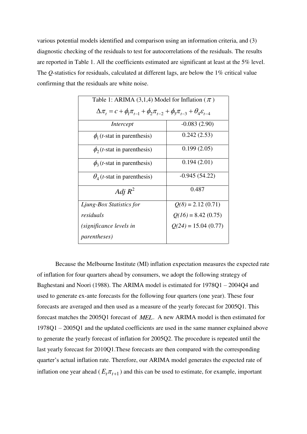various potential models identified and comparison using an information criteria, and (3) diagnostic checking of the residuals to test for autocorrelations of the residuals. The results are reported in Table 1. All the coefficients estimated are significant at least at the 5% level. The *Q*-statistics for residuals, calculated at different lags, are below the 1% critical value confirming that the residuals are white noise.

| Table 1: ARIMA (3,1,4) Model for Inflation ( $\pi$ )                                                     |                       |  |  |  |
|----------------------------------------------------------------------------------------------------------|-----------------------|--|--|--|
| $\Delta \pi_t = c + \phi_1 \pi_{t-1} + \phi_2 \pi_{t-2} + \phi_3 \pi_{t-3} + \theta_4 \varepsilon_{t-4}$ |                       |  |  |  |
| Intercept                                                                                                | $-0.083(2.90)$        |  |  |  |
| $\phi_1(t\text{-stat in parentheses})$                                                                   | 0.242(2.53)           |  |  |  |
| $\phi_2(t)$ -stat in parenthesis)                                                                        | 0.199(2.05)           |  |  |  |
| $\phi_3(t)$ -stat in parenthesis)                                                                        | 0.194(2.01)           |  |  |  |
| $\theta_4$ ( <i>t</i> -stat in parenthesis)                                                              | $-0.945(54.22)$       |  |  |  |
| Adj $R^2$                                                                                                | 0.487                 |  |  |  |
| Ljung-Box Statistics for                                                                                 | $Q(8) = 2.12(0.71)$   |  |  |  |
| residuals                                                                                                | $Q(16) = 8.42(0.75)$  |  |  |  |
| (significance levels in                                                                                  | $Q(24) = 15.04(0.77)$ |  |  |  |
| <i>parentheses</i> )                                                                                     |                       |  |  |  |

Because the Melbourne Institute (MI) inflation expectation measures the expected rate of inflation for four quarters ahead by consumers, we adopt the following strategy of Baghestani and Noori (1988). The ARIMA model is estimated for 1978Q1 – 2004Q4 and used to generate ex-ante forecasts for the following four quarters (one year). These four forecasts are averaged and then used as a measure of the yearly forecast for 2005Q1. This forecast matches the 2005Q1 forecast of *MEL*. A new ARIMA model is then estimated for 1978Q1 – 2005Q1 and the updated coefficients are used in the same manner explained above to generate the yearly forecast of inflation for 2005Q2. The procedure is repeated until the last yearly forecast for 2010Q1.These forecasts are then compared with the corresponding quarter's actual inflation rate. Therefore, our ARIMA model generates the expected rate of inflation one year ahead ( $E_t \pi_{t+1}$ ) and this can be used to estimate, for example, important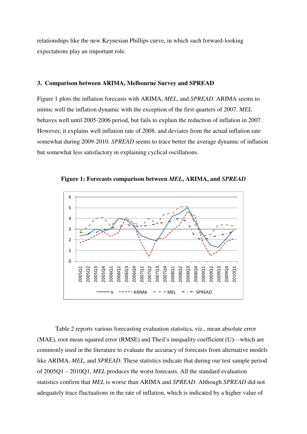relationships like the new Keynesian Phillips curve, in which such forward-looking expectations play an important role.

#### **3. Comparison between ARIMA, Melbourne Survey and SPREAD**

Figure 1 plots the inflation forecasts with ARIMA, *MEL*, and *SPREAD*. ARIMA seems to mimic well the inflation dynamic with the exception of the first quarters of 2007. *MEL* behaves well until 2005-2006 period, but fails to explain the reduction of inflation in 2007. However, it explains well inflation rate of 2008, and deviates from the actual inflation rate somewhat during 2009-2010. *SPREAD* seems to trace better the average dynamic of inflation but somewhat less satisfactory in explaining cyclical oscillations.



**Figure 1: Forecasts comparison between** *MEL***, ARIMA, and** *SPREAD*

Table 2 reports various forecasting evaluation statistics, viz., mean absolute error (MAE), root mean squared error (RMSE) and Theil's inequality coefficient (U)—which are commonly used in the literature to evaluate the accuracy of forecasts from alternative models like ARIMA, *MEL*, and *SPREAD*. These statistics indicate that during our test sample period of 2005Q1 – 2010Q1, *MEL* produces the worst forecasts. All the standard evaluation statistics confirm that *MEL* is worse than ARIMA and *SPREAD*. Although *SPREAD* did not adequately trace fluctuations in the rate of inflation, which is indicated by a higher value of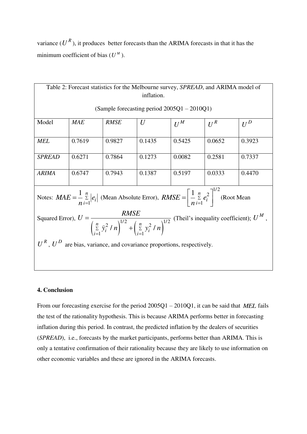variance  $(U^R)$ , it produces better forecasts than the ARIMA forecasts in that it has the minimum coefficient of bias  $(U^M)$ .

| Table 2: Forecast statistics for the Melbourne survey, SPREAD, and ARIMA model of                                                                                                          |            |             |        |        |        |        |  |
|--------------------------------------------------------------------------------------------------------------------------------------------------------------------------------------------|------------|-------------|--------|--------|--------|--------|--|
| inflation.                                                                                                                                                                                 |            |             |        |        |        |        |  |
| (Sample forecasting period $2005Q1 - 2010Q1$ )                                                                                                                                             |            |             |        |        |        |        |  |
| Model                                                                                                                                                                                      | <b>MAE</b> | <b>RMSE</b> | U      | $U^M$  | $U^R$  | $U^D$  |  |
| <b>MEL</b>                                                                                                                                                                                 | 0.7619     | 0.9827      | 0.1435 | 0.5425 | 0.0652 | 0.3923 |  |
| <b>SPREAD</b>                                                                                                                                                                              | 0.6271     | 0.7864      | 0.1273 | 0.0082 | 0.2581 | 0.7337 |  |
| <b>ARIMA</b>                                                                                                                                                                               | 0.6747     | 0.7943      | 0.1387 | 0.5197 | 0.0333 | 0.4470 |  |
| Notes: $MAE = \frac{1}{n} \sum_{i=1}^{n}  e_i $ (Mean Absolute Error), $RMSE = \left[\frac{1}{n} \sum_{i=1}^{n} e_i^2\right]^{1/2}$ (Root Mean                                             |            |             |        |        |        |        |  |
| Squared Error), $U = \frac{RMSE}{\left(\sum\limits_{i=1}^{n} \hat{y}_i^2 / n\right)^{1/2} + \left(\sum\limits_{i=1}^{n} y_i^2 / n\right)^{1/2}}$ (Theil's inequality coefficient); $U^M$ , |            |             |        |        |        |        |  |
| $U^R$ , $U^D$ are bias, variance, and covariance proportions, respectively.                                                                                                                |            |             |        |        |        |        |  |
|                                                                                                                                                                                            |            |             |        |        |        |        |  |

### **4. Conclusion**

From our forecasting exercise for the period 2005Q1 – 2010Q1, it can be said that *MEL* fails the test of the rationality hypothesis. This is because ARIMA performs better in forecasting inflation during this period. In contrast, the predicted inflation by the dealers of securities (*SPREAD*), i.e., forecasts by the market participants, performs better than ARIMA. This is only a tentative confirmation of their rationality because they are likely to use information on other economic variables and these are ignored in the ARIMA forecasts.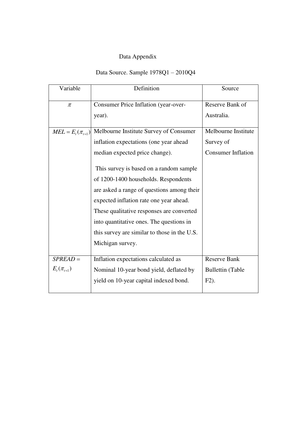# Data Appendix

# Data Source. Sample 1978Q1 – 2010Q4

| Variable                 | Definition<br>Source                         |                           |  |
|--------------------------|----------------------------------------------|---------------------------|--|
| $\pi$                    | Consumer Price Inflation (year-over-         | Reserve Bank of           |  |
|                          | year).                                       | Australia.                |  |
| $MEL = E_{t}(\pi_{t+1})$ | Melbourne Institute Survey of Consumer       | Melbourne Institute       |  |
|                          | inflation expectations (one year ahead       | Survey of                 |  |
|                          | median expected price change).               | <b>Consumer Inflation</b> |  |
|                          | This survey is based on a random sample      |                           |  |
|                          | of 1200-1400 households. Respondents         |                           |  |
|                          | are asked a range of questions among their   |                           |  |
|                          | expected inflation rate one year ahead.      |                           |  |
|                          | These qualitative responses are converted    |                           |  |
|                          | into quantitative ones. The questions in     |                           |  |
|                          | this survey are similar to those in the U.S. |                           |  |
|                          | Michigan survey.                             |                           |  |
| $SPREAD =$               | Inflation expectations calculated as         | <b>Reserve Bank</b>       |  |
| $E_{t}(\pi_{t+1})$       | Nominal 10-year bond yield, deflated by      | <b>Bullettin</b> (Table   |  |
|                          | yield on 10-year capital indexed bond.       | $F2$ ).                   |  |